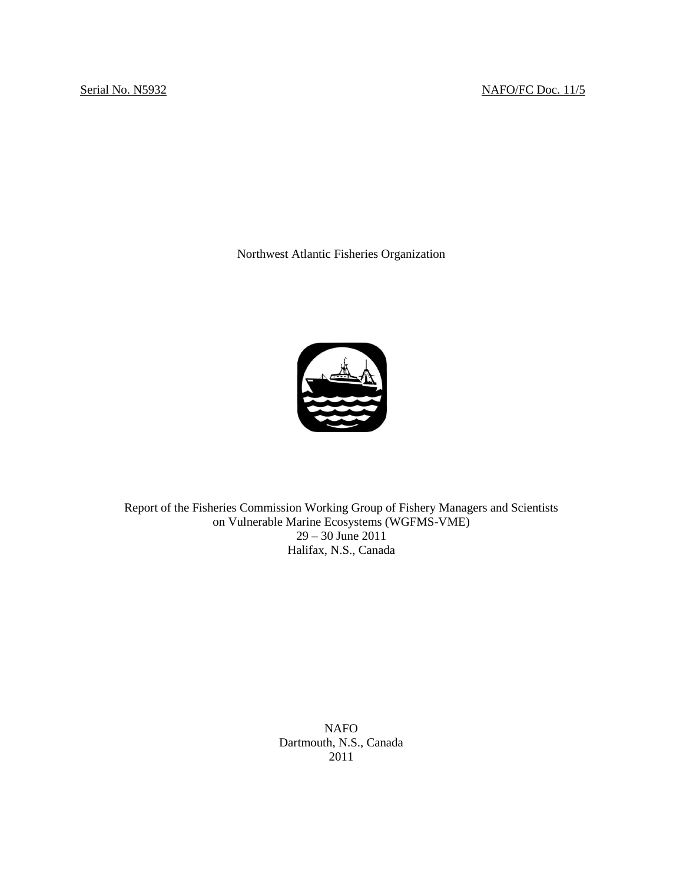## Serial No. N5932 NAFO/FC Doc. 11/5

Northwest Atlantic Fisheries Organization



Report of the Fisheries Commission Working Group of Fishery Managers and Scientists on Vulnerable Marine Ecosystems (WGFMS-VME) 29 – 30 June 2011 Halifax, N.S., Canada

> NAFO Dartmouth, N.S., Canada 2011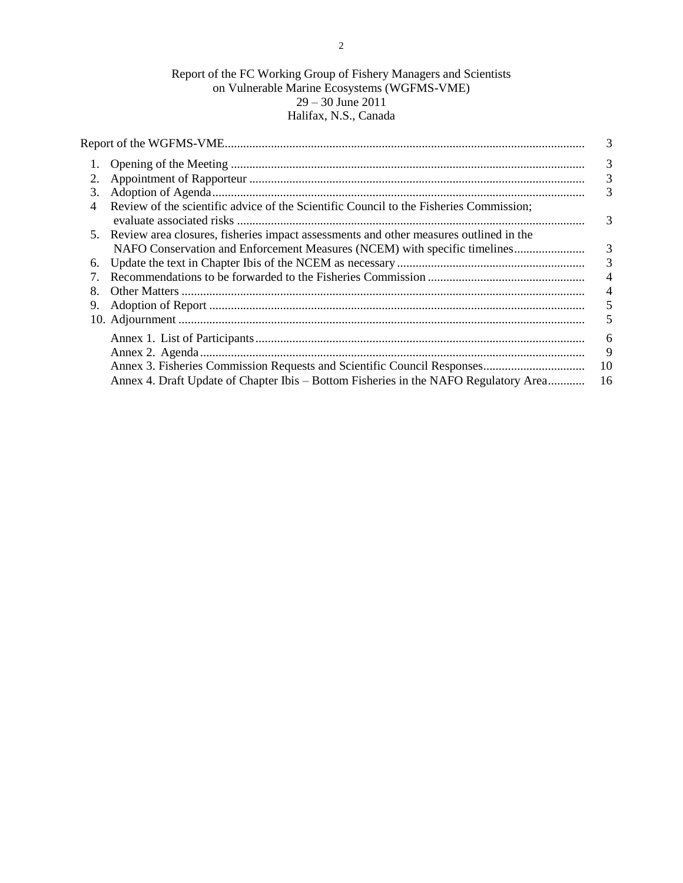# Report of the FC Working Group of Fishery Managers and Scientists on Vulnerable Marine Ecosystems (WGFMS-VME) 29 – 30 June 2011 Halifax, N.S., Canada

|    |                                                                                          | 3                       |
|----|------------------------------------------------------------------------------------------|-------------------------|
|    |                                                                                          | 3                       |
| 2. |                                                                                          | $\frac{3}{3}$           |
| 3. |                                                                                          |                         |
| 4  | Review of the scientific advice of the Scientific Council to the Fisheries Commission;   | 3                       |
|    | 5. Review area closures, fisheries impact assessments and other measures outlined in the |                         |
|    |                                                                                          | 3                       |
| 6. |                                                                                          | $\overline{\mathbf{3}}$ |
|    |                                                                                          | $\overline{4}$          |
| 8. |                                                                                          | 4                       |
| 9. |                                                                                          | 5                       |
|    |                                                                                          |                         |
|    |                                                                                          | 6                       |
|    |                                                                                          | 9                       |
|    |                                                                                          | 10                      |
|    | Annex 4. Draft Update of Chapter Ibis – Bottom Fisheries in the NAFO Regulatory Area     | 16                      |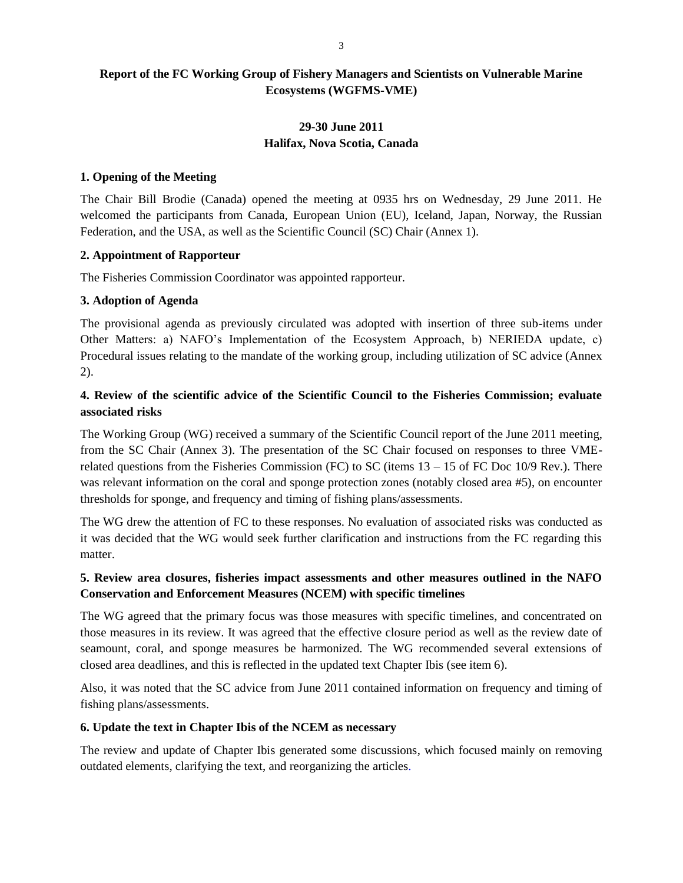# **Report of the FC Working Group of Fishery Managers and Scientists on Vulnerable Marine Ecosystems (WGFMS-VME)**

# **29-30 June 2011 Halifax, Nova Scotia, Canada**

# **1. Opening of the Meeting**

The Chair Bill Brodie (Canada) opened the meeting at 0935 hrs on Wednesday, 29 June 2011. He welcomed the participants from Canada, European Union (EU), Iceland, Japan, Norway, the Russian Federation, and the USA, as well as the Scientific Council (SC) Chair (Annex 1).

# **2. Appointment of Rapporteur**

The Fisheries Commission Coordinator was appointed rapporteur.

# **3. Adoption of Agenda**

The provisional agenda as previously circulated was adopted with insertion of three sub-items under Other Matters: a) NAFO"s Implementation of the Ecosystem Approach, b) NERIEDA update, c) Procedural issues relating to the mandate of the working group, including utilization of SC advice (Annex 2).

# **4. Review of the scientific advice of the Scientific Council to the Fisheries Commission; evaluate associated risks**

The Working Group (WG) received a summary of the Scientific Council report of the June 2011 meeting, from the SC Chair (Annex 3). The presentation of the SC Chair focused on responses to three VMErelated questions from the Fisheries Commission (FC) to SC (items  $13 - 15$  of FC Doc 10/9 Rev.). There was relevant information on the coral and sponge protection zones (notably closed area #5), on encounter thresholds for sponge, and frequency and timing of fishing plans/assessments.

The WG drew the attention of FC to these responses. No evaluation of associated risks was conducted as it was decided that the WG would seek further clarification and instructions from the FC regarding this matter.

# **5. Review area closures, fisheries impact assessments and other measures outlined in the NAFO Conservation and Enforcement Measures (NCEM) with specific timelines**

The WG agreed that the primary focus was those measures with specific timelines, and concentrated on those measures in its review. It was agreed that the effective closure period as well as the review date of seamount, coral, and sponge measures be harmonized. The WG recommended several extensions of closed area deadlines, and this is reflected in the updated text Chapter Ibis (see item 6).

Also, it was noted that the SC advice from June 2011 contained information on frequency and timing of fishing plans/assessments.

# **6. Update the text in Chapter Ibis of the NCEM as necessary**

The review and update of Chapter Ibis generated some discussions, which focused mainly on removing outdated elements, clarifying the text, and reorganizing the articles.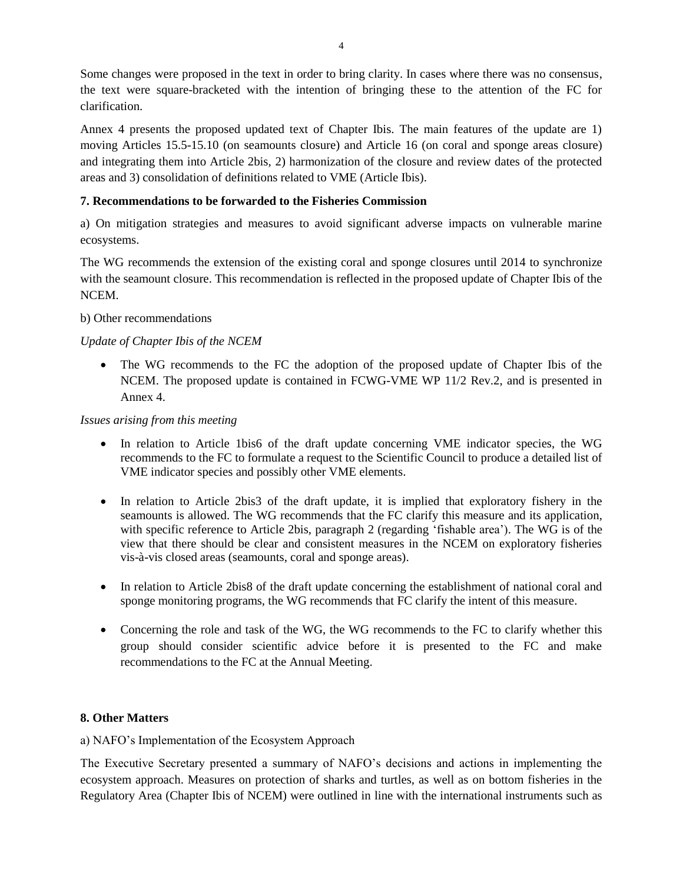Some changes were proposed in the text in order to bring clarity. In cases where there was no consensus, the text were square-bracketed with the intention of bringing these to the attention of the FC for clarification.

Annex 4 presents the proposed updated text of Chapter Ibis. The main features of the update are 1) moving Articles 15.5-15.10 (on seamounts closure) and Article 16 (on coral and sponge areas closure) and integrating them into Article 2bis, 2) harmonization of the closure and review dates of the protected areas and 3) consolidation of definitions related to VME (Article Ibis).

# **7. Recommendations to be forwarded to the Fisheries Commission**

a) On mitigation strategies and measures to avoid significant adverse impacts on vulnerable marine ecosystems.

The WG recommends the extension of the existing coral and sponge closures until 2014 to synchronize with the seamount closure. This recommendation is reflected in the proposed update of Chapter Ibis of the NCEM.

# b) Other recommendations

# *Update of Chapter Ibis of the NCEM*

 The WG recommends to the FC the adoption of the proposed update of Chapter Ibis of the NCEM. The proposed update is contained in FCWG-VME WP 11/2 Rev.2, and is presented in Annex 4.

# *Issues arising from this meeting*

- In relation to Article 1bis6 of the draft update concerning VME indicator species, the WG recommends to the FC to formulate a request to the Scientific Council to produce a detailed list of VME indicator species and possibly other VME elements.
- In relation to Article 2bis3 of the draft update, it is implied that exploratory fishery in the seamounts is allowed. The WG recommends that the FC clarify this measure and its application, with specific reference to Article 2bis, paragraph 2 (regarding 'fishable area'). The WG is of the view that there should be clear and consistent measures in the NCEM on exploratory fisheries vis-à-vis closed areas (seamounts, coral and sponge areas).
- In relation to Article 2bis8 of the draft update concerning the establishment of national coral and sponge monitoring programs, the WG recommends that FC clarify the intent of this measure.
- Concerning the role and task of the WG, the WG recommends to the FC to clarify whether this group should consider scientific advice before it is presented to the FC and make recommendations to the FC at the Annual Meeting.

# **8. Other Matters**

# a) NAFO"s Implementation of the Ecosystem Approach

The Executive Secretary presented a summary of NAFO"s decisions and actions in implementing the ecosystem approach. Measures on protection of sharks and turtles, as well as on bottom fisheries in the Regulatory Area (Chapter Ibis of NCEM) were outlined in line with the international instruments such as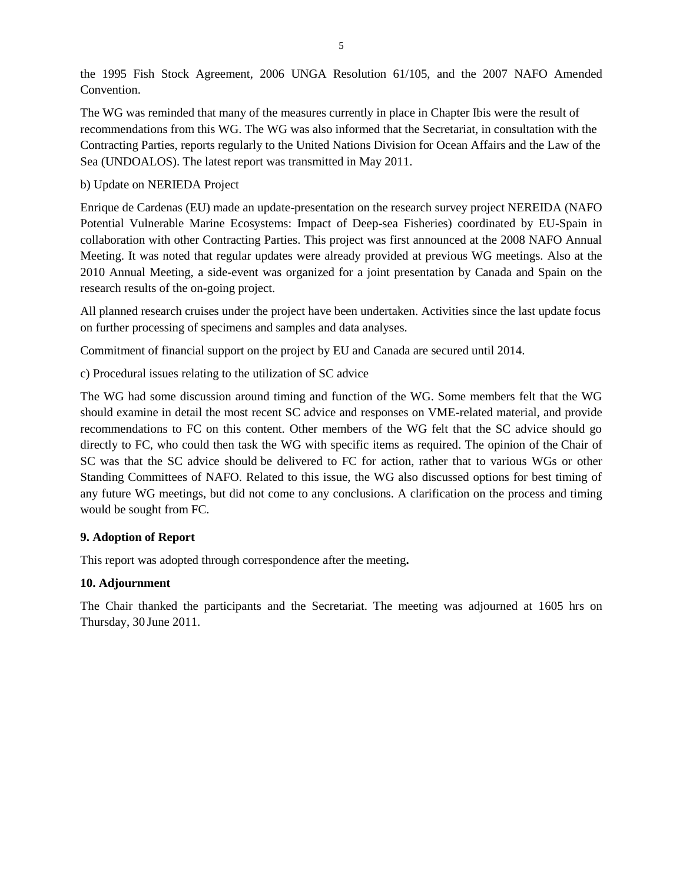the 1995 Fish Stock Agreement, 2006 UNGA Resolution 61/105, and the 2007 NAFO Amended Convention.

The WG was reminded that many of the measures currently in place in Chapter Ibis were the result of recommendations from this WG. The WG was also informed that the Secretariat, in consultation with the Contracting Parties, reports regularly to the United Nations Division for Ocean Affairs and the Law of the Sea (UNDOALOS). The latest report was transmitted in May 2011.

# b) Update on NERIEDA Project

Enrique de Cardenas (EU) made an update-presentation on the research survey project NEREIDA (NAFO Potential Vulnerable Marine Ecosystems: Impact of Deep-sea Fisheries) coordinated by EU-Spain in collaboration with other Contracting Parties. This project was first announced at the 2008 NAFO Annual Meeting. It was noted that regular updates were already provided at previous WG meetings. Also at the 2010 Annual Meeting, a side-event was organized for a joint presentation by Canada and Spain on the research results of the on-going project.

All planned research cruises under the project have been undertaken. Activities since the last update focus on further processing of specimens and samples and data analyses.

Commitment of financial support on the project by EU and Canada are secured until 2014.

c) Procedural issues relating to the utilization of SC advice

The WG had some discussion around timing and function of the WG. Some members felt that the WG should examine in detail the most recent SC advice and responses on VME-related material, and provide recommendations to FC on this content. Other members of the WG felt that the SC advice should go directly to FC, who could then task the WG with specific items as required. The opinion of the Chair of SC was that the SC advice should be delivered to FC for action, rather that to various WGs or other Standing Committees of NAFO. Related to this issue, the WG also discussed options for best timing of any future WG meetings, but did not come to any conclusions. A clarification on the process and timing would be sought from FC.

# **9. Adoption of Report**

This report was adopted through correspondence after the meeting**.** 

# **10. Adjournment**

The Chair thanked the participants and the Secretariat. The meeting was adjourned at 1605 hrs on Thursday, 30 June 2011.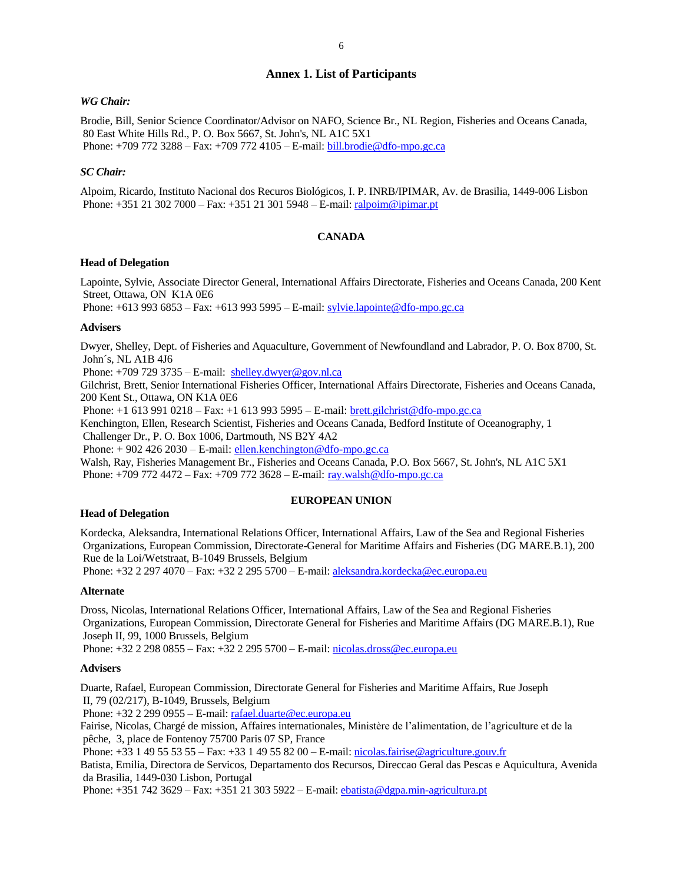### **Annex 1. List of Participants**

#### *WG Chair:*

Brodie, Bill, Senior Science Coordinator/Advisor on NAFO, Science Br., NL Region, Fisheries and Oceans Canada, 80 East White Hills Rd., P. O. Box 5667, St. John's, NL A1C 5X1 Phone: +709 772 3288 – Fax: +709 772 4105 – E-mail[: bill.brodie@dfo-mpo.gc.ca](mailto:bill.brodie@dfo-mpo.gc.ca)

### *SC Chair:*

Alpoim, Ricardo, Instituto Nacional dos Recuros Biológicos, I. P. INRB/IPIMAR, Av. de Brasilia, 1449-006 Lisbon Phone: +351 21 302 7000 – Fax: +351 21 301 5948 – E-mail: ralpoim@ipimar.pt

#### **CANADA**

### **Head of Delegation**

Lapointe, Sylvie, Associate Director General, International Affairs Directorate, Fisheries and Oceans Canada, 200 Kent Street, Ottawa, ON K1A 0E6

Phone: +613 993 6853 – Fax: +613 993 5995 – E-mail[: sylvie.lapointe@dfo-mpo.gc.ca](mailto:sylvie.lapointe@dfo-mpo.gc.ca)

#### **Advisers**

Dwyer, Shelley, Dept. of Fisheries and Aquaculture, Government of Newfoundland and Labrador, P. O. Box 8700, St. John´s, NL A1B 4J6

Phone:  $+7097293735 -$ E-mail: shelley.dwye[r@gov.nl.ca](mailto:atkinson@athena.nwafc.nf.ca)

Gilchrist, Brett, Senior International Fisheries Officer, International Affairs Directorate, Fisheries and Oceans Canada, 200 Kent St., Ottawa, ON K1A 0E6

Phone: +1 613 991 0218 – Fax: +1 613 993 5995 – E-mail: [brett.gilchrist@dfo-mpo.gc.ca](mailto:brett.gilchrist@dfo-mpo.gc.ca)

Kenchington, Ellen, Research Scientist, Fisheries and Oceans Canada, Bedford Institute of Oceanography, 1 Challenger Dr., P. O. Box 1006, Dartmouth, NS B2Y 4A2

Phone: + 902 426 2030 – E-mail: [ellen.kenchington@dfo-mpo.gc.ca](mailto:ellen.kenchington@dfo-mpo.gc.ca)

Walsh, Ray, Fisheries Management Br., Fisheries and Oceans Canada, P.O. Box 5667, St. John's, NL A1C 5X1 Phone: +709 772 4472 – Fax: +709 772 3628 – E-mail: [ray.walsh@dfo-mpo.gc.ca](mailto:ray.walsh@dfo-mpo.gc.ca)

#### **EUROPEAN UNION**

### **Head of Delegation**

Kordecka, Aleksandra, International Relations Officer, International Affairs, Law of the Sea and Regional Fisheries Organizations, European Commission, Directorate-General for Maritime Affairs and Fisheries (DG MARE.B.1), 200 Rue de la Loi/Wetstraat, B-1049 Brussels, Belgium

Phone: +32 2 297 4070 – Fax: +32 2 295 5700 – E-mail: [aleksandra.kordecka@ec.europa.eu](mailto:aleksandra.kordecka@ec.europa.eu)

#### **Alternate**

Dross, Nicolas, International Relations Officer, International Affairs, Law of the Sea and Regional Fisheries Organizations, European Commission, Directorate General for Fisheries and Maritime Affairs (DG MARE.B.1), Rue Joseph II, 99, 1000 Brussels, Belgium

Phone: +32 2 298 0855 – Fax: +32 2 295 5700 – E-mail: [nicolas.dross@ec.europa.eu](mailto:nicolas.dross@ec.europa.eu)

#### **Advisers**

Duarte, Rafael, European Commission, Directorate General for Fisheries and Maritime Affairs, Rue Joseph II, 79 (02/217), B-1049, Brussels, Belgium

Phone: +32 2 299 0955 – E-mail: [rafael.duarte@ec.europa.eu](mailto:rafael.duarte@ec.europa.eu)

Fairise, Nicolas, Chargé de mission, Affaires internationales, Ministère de l"alimentation, de l"agriculture et de la pêche, 3, place de Fontenoy 75700 Paris 07 SP, France

Phone: +33 1 49 55 53 55 – Fax: +33 1 49 55 82 00 – E-mail[: nicolas.fairise@agriculture.gouv.fr](mailto:nicolas.fairise@agriculture.gouv.fr)

Batista, Emilia, Directora de Servicos, Departamento dos Recursos, Direccao Geral das Pescas e Aquicultura, Avenida da Brasilia, 1449-030 Lisbon, Portugal

Phone: +351 742 3629 – Fax: +351 21 303 5922 – E-mail[: ebatista@dgpa.min-agricultura.pt](mailto:ebatista@dgpa.min-agricultura.pt)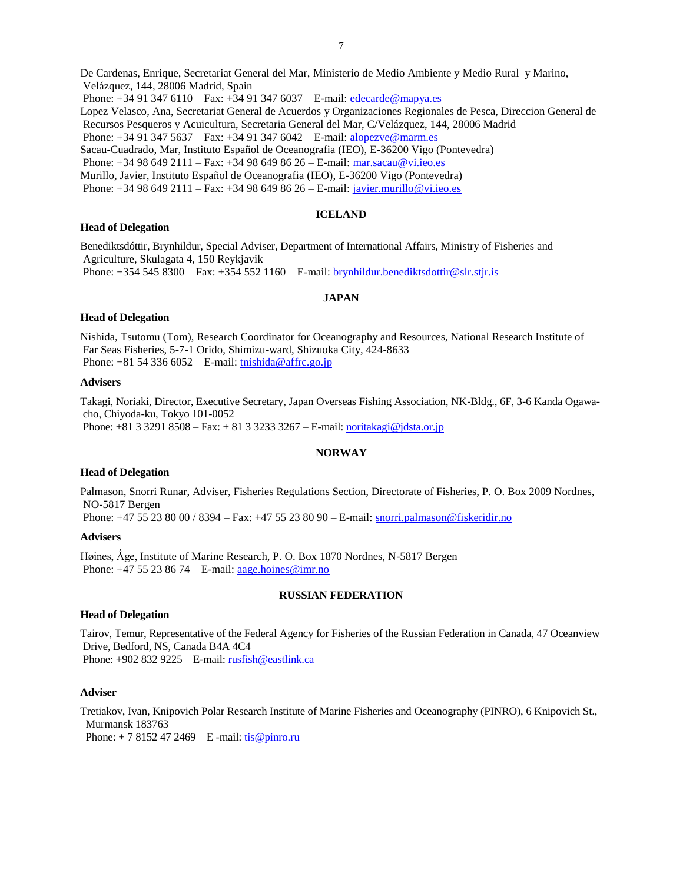De Cardenas, Enrique, Secretariat General del Mar, Ministerio de Medio Ambiente y Medio Rural y Marino, Velázquez, 144, 28006 Madrid, Spain Phone: +34 91 347 6110 – Fax: +34 91 347 6037 – E-mail: [edecarde@mapya.es](mailto:edecarde@mapya.es) Lopez Velasco, Ana, Secretariat General de Acuerdos y Organizaciones Regionales de Pesca, Direccion General de Recursos Pesqueros y Acuicultura, Secretaria General del Mar, C/Velázquez, 144, 28006 Madrid Phone: +34 91 347 5637 – Fax: +34 91 347 6042 – E-mail: [alopezve@marm.es](mailto:alopezve@marm.es) Sacau-Cuadrado, Mar, Instituto Español de Oceanografia (IEO), E-36200 Vigo (Pontevedra) Phone: +34 98 649 2111 – Fax: +34 98 649 86 26 – E-mail: [mar.sacau@vi.ieo.es](mailto:mar.sacau@vi.ieo.es) Murillo, Javier, Instituto Español de Oceanografia (IEO), E-36200 Vigo (Pontevedra) Phone:  $+34986492111 - Fax: +34986498626 - E-mail: [juvier.murillo@vi.ieo.es](mailto:javier.murillo@vi.ieo.es)$ 

### **ICELAND**

### **Head of Delegation**

Benediktsdóttir, Brynhildur, Special Adviser, Department of International Affairs, Ministry of Fisheries and Agriculture, Skulagata 4, 150 Reykjavik Phone:  $+354543300 - Fax: +354521160 - E-mail: brynhildur. benediktsdottr $\sqrt{a}$  slr.stjr.is$ 

#### **JAPAN**

#### **Head of Delegation**

Nishida, Tsutomu (Tom), Research Coordinator for Oceanography and Resources, National Research Institute of Far Seas Fisheries, 5-7-1 Orido, Shimizu-ward, Shizuoka City, 424-8633 Phone:  $+81$  54 336 6052 – E-mail: [tnishida@affrc.go.jp](mailto:tnishida@affrc.go.jp)

#### **Advisers**

Takagi, Noriaki, Director, Executive Secretary, Japan Overseas Fishing Association, NK-Bldg., 6F, 3-6 Kanda Ogawacho, Chiyoda-ku, Tokyo 101-0052 Phone: +81 3 3291 8508 – Fax: + 81 3 3233 3267 – E-mail[: noritakagi@jdsta.or.jp](mailto:noritakagi@jdsta.or.jp)

#### **NORWAY**

#### **Head of Delegation**

Palmason, Snorri Runar, Adviser, Fisheries Regulations Section, Directorate of Fisheries, P. O. Box 2009 Nordnes, NO-5817 Bergen Phone: +47 55 23 80 00 / 8394 – Fax: +47 55 23 80 90 – E-mail[: snorri.palmason@fiskeridir.no](mailto:snorri.palmason@fiskeridir.no)

#### **Advisers**

Høines, Åge, Institute of Marine Research, P. O. Box 1870 Nordnes, N-5817 Bergen Phone:  $+4755238674 -$  E-mail: [aage.hoines@imr.no](mailto:aage.hoines@imr.no)

### **RUSSIAN FEDERATION**

#### **Head of Delegation**

Tairov, Temur, Representative of the Federal Agency for Fisheries of the Russian Federation in Canada, 47 Oceanview Drive, Bedford, NS, Canada B4A 4C4 Phone: +902 832 9225 – E-mail[: rusfish@eastlink.ca](mailto:rusfish@eastlink.ca)

### **Adviser**

Tretiakov, Ivan, Knipovich Polar Research Institute of Marine Fisheries and Oceanography (PINRO), 6 Knipovich St., Murmansk 183763 Phone:  $+ 78152472469 - E$ -mail: [tis@pinro.ru](mailto:tis@pinro.ru)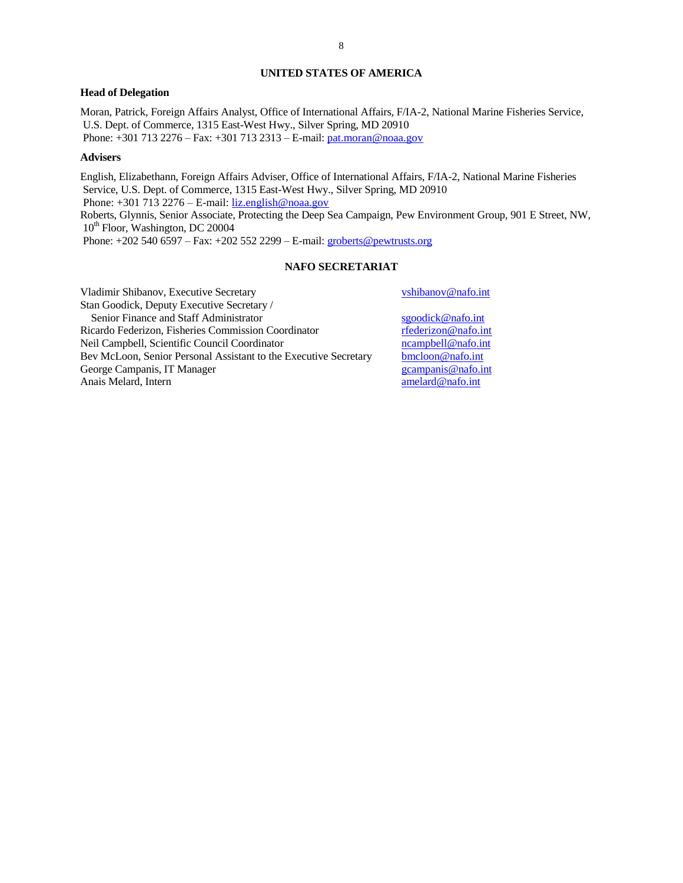### **UNITED STATES OF AMERICA**

### **Head of Delegation**

Moran, Patrick, Foreign Affairs Analyst, Office of International Affairs, F/IA-2, National Marine Fisheries Service, U.S. Dept. of Commerce, 1315 East-West Hwy., Silver Spring, MD 20910 Phone: +301 713 2276 – Fax: +301 713 2313 – E-mail[: pat.moran@noaa.gov](mailto:pat.moran@noaa.gov)

#### **Advisers**

English, Elizabethann, Foreign Affairs Adviser, Office of International Affairs, F/IA-2, National Marine Fisheries Service, U.S. Dept. of Commerce, 1315 East-West Hwy., Silver Spring, MD 20910 Phone:  $+3017132276 -$  E-mail: [liz.english@noaa.gov](mailto:liz.english@noaa.gov) Roberts, Glynnis, Senior Associate, Protecting the Deep Sea Campaign, Pew Environment Group, 901 E Street, NW,  $10<sup>th</sup>$  Floor, Washington, DC 20004 Phone: +202 540 6597 – Fax: +202 552 2299 – E-mail[: groberts@pewtrusts.org](mailto:groberts@pewtrusts.org)

## **NAFO SECRETARIAT**

| Vladimir Shibanov, Executive Secretary                           | vshibanov@nafo.int  |
|------------------------------------------------------------------|---------------------|
| Stan Goodick, Deputy Executive Secretary /                       |                     |
| Senior Finance and Staff Administrator                           | sgoodick@nafo.int   |
| Ricardo Federizon, Fisheries Commission Coordinator              | rfederizon@nafo.int |
| Neil Campbell, Scientific Council Coordinator                    | ncampbell@nafo.int  |
| Bev McLoon, Senior Personal Assistant to the Executive Secretary | bmcloon@nafo.int    |
| George Campanis, IT Manager                                      | gcampanis@nafo.int  |
| Anais Melard, Intern                                             | amelard@nafo.int    |
|                                                                  |                     |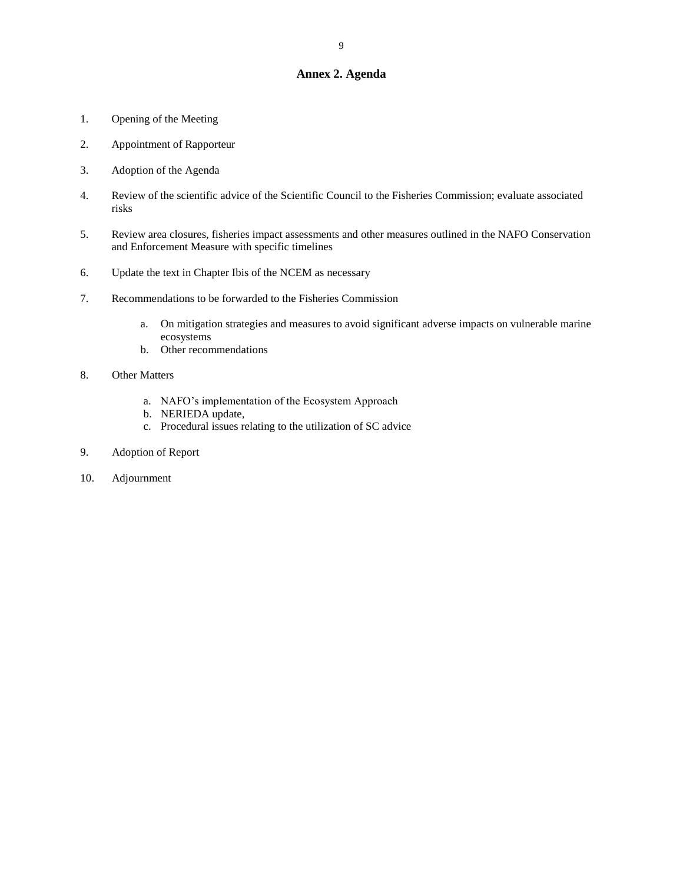## **Annex 2. Agenda**

- 1. Opening of the Meeting
- 2. Appointment of Rapporteur
- 3. Adoption of the Agenda
- 4. Review of the scientific advice of the Scientific Council to the Fisheries Commission; evaluate associated risks
- 5. Review area closures, fisheries impact assessments and other measures outlined in the NAFO Conservation and Enforcement Measure with specific timelines
- 6. Update the text in Chapter Ibis of the NCEM as necessary
- 7. Recommendations to be forwarded to the Fisheries Commission
	- a. On mitigation strategies and measures to avoid significant adverse impacts on vulnerable marine ecosystems
	- b. Other recommendations
- 8. Other Matters
	- a. NAFO"s implementation of the Ecosystem Approach
	- b. NERIEDA update,
	- c. Procedural issues relating to the utilization of SC advice
- 9. Adoption of Report
- 10. Adjournment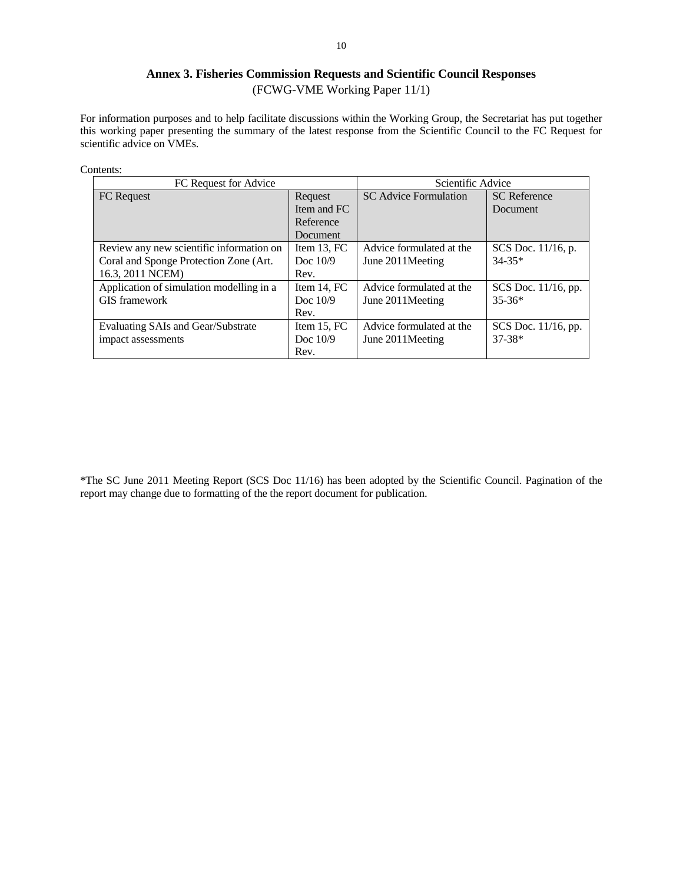# **Annex 3. Fisheries Commission Requests and Scientific Council Responses** (FCWG-VME Working Paper 11/1)

For information purposes and to help facilitate discussions within the Working Group, the Secretariat has put together this working paper presenting the summary of the latest response from the Scientific Council to the FC Request for scientific advice on VMEs.

| Contents: |
|-----------|
|-----------|

| FC Request for Advice                    |                | Scientific Advice            |                          |  |
|------------------------------------------|----------------|------------------------------|--------------------------|--|
| <b>FC</b> Request                        | Request        | <b>SC Advice Formulation</b> | <b>SC</b> Reference      |  |
|                                          | Item and FC    |                              | Document                 |  |
|                                          | Reference      |                              |                          |  |
|                                          | Document       |                              |                          |  |
| Review any new scientific information on | Item $13$ , FC | Advice formulated at the     | $SCS$ Doc. $11/16$ , p.  |  |
| Coral and Sponge Protection Zone (Art.   | Doc $10/9$     | June 2011 Meeting            | $34 - 35*$               |  |
| 16.3, 2011 NCEM)                         | Rev.           |                              |                          |  |
| Application of simulation modelling in a | Item $14$ , FC | Advice formulated at the     | $SCS$ Doc. $11/16$ , pp. |  |
| GIS framework                            | Doc $10/9$     | June 2011 Meeting            | $35-36*$                 |  |
|                                          | Rev.           |                              |                          |  |
| Evaluating SAIs and Gear/Substrate       | Item $15$ , FC | Advice formulated at the     | $SCS$ Doc. $11/16$ , pp. |  |
| impact assessments                       | Doc $10/9$     | June 2011 Meeting            | $37-38*$                 |  |
|                                          | Rev.           |                              |                          |  |

\*The SC June 2011 Meeting Report (SCS Doc 11/16) has been adopted by the Scientific Council. Pagination of the report may change due to formatting of the the report document for publication.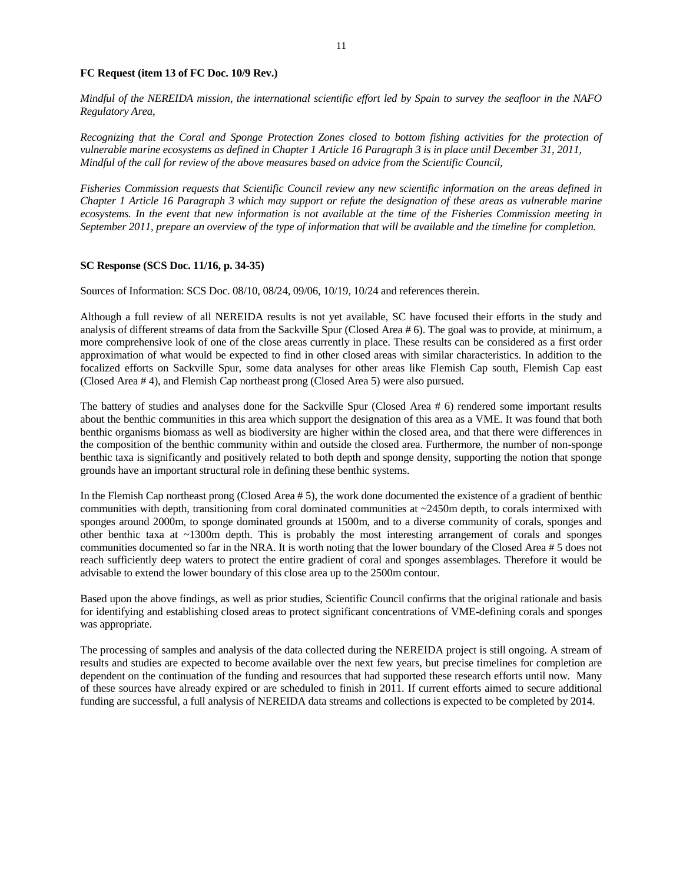### **FC Request (item 13 of FC Doc. 10/9 Rev.)**

*Mindful of the NEREIDA mission, the international scientific effort led by Spain to survey the seafloor in the NAFO Regulatory Area,*

*Recognizing that the Coral and Sponge Protection Zones closed to bottom fishing activities for the protection of vulnerable marine ecosystems as defined in Chapter 1 Article 16 Paragraph 3 is in place until December 31, 2011, Mindful of the call for review of the above measures based on advice from the Scientific Council,* 

*Fisheries Commission requests that Scientific Council review any new scientific information on the areas defined in Chapter 1 Article 16 Paragraph 3 which may support or refute the designation of these areas as vulnerable marine ecosystems. In the event that new information is not available at the time of the Fisheries Commission meeting in September 2011, prepare an overview of the type of information that will be available and the timeline for completion.*

### **SC Response (SCS Doc. 11/16, p. 34-35)**

Sources of Information: SCS Doc. 08/10, 08/24, 09/06, 10/19, 10/24 and references therein.

Although a full review of all NEREIDA results is not yet available, SC have focused their efforts in the study and analysis of different streams of data from the Sackville Spur (Closed Area  $# 6$ ). The goal was to provide, at minimum, a more comprehensive look of one of the close areas currently in place. These results can be considered as a first order approximation of what would be expected to find in other closed areas with similar characteristics. In addition to the focalized efforts on Sackville Spur, some data analyses for other areas like Flemish Cap south, Flemish Cap east (Closed Area # 4), and Flemish Cap northeast prong (Closed Area 5) were also pursued.

The battery of studies and analyses done for the Sackville Spur (Closed Area # 6) rendered some important results about the benthic communities in this area which support the designation of this area as a VME. It was found that both benthic organisms biomass as well as biodiversity are higher within the closed area, and that there were differences in the composition of the benthic community within and outside the closed area. Furthermore, the number of non-sponge benthic taxa is significantly and positively related to both depth and sponge density, supporting the notion that sponge grounds have an important structural role in defining these benthic systems.

In the Flemish Cap northeast prong (Closed Area # 5), the work done documented the existence of a gradient of benthic communities with depth, transitioning from coral dominated communities at ~2450m depth, to corals intermixed with sponges around 2000m, to sponge dominated grounds at 1500m, and to a diverse community of corals, sponges and other benthic taxa at ~1300m depth. This is probably the most interesting arrangement of corals and sponges communities documented so far in the NRA. It is worth noting that the lower boundary of the Closed Area # 5 does not reach sufficiently deep waters to protect the entire gradient of coral and sponges assemblages. Therefore it would be advisable to extend the lower boundary of this close area up to the 2500m contour.

Based upon the above findings, as well as prior studies, Scientific Council confirms that the original rationale and basis for identifying and establishing closed areas to protect significant concentrations of VME-defining corals and sponges was appropriate.

The processing of samples and analysis of the data collected during the NEREIDA project is still ongoing. A stream of results and studies are expected to become available over the next few years, but precise timelines for completion are dependent on the continuation of the funding and resources that had supported these research efforts until now. Many of these sources have already expired or are scheduled to finish in 2011. If current efforts aimed to secure additional funding are successful, a full analysis of NEREIDA data streams and collections is expected to be completed by 2014.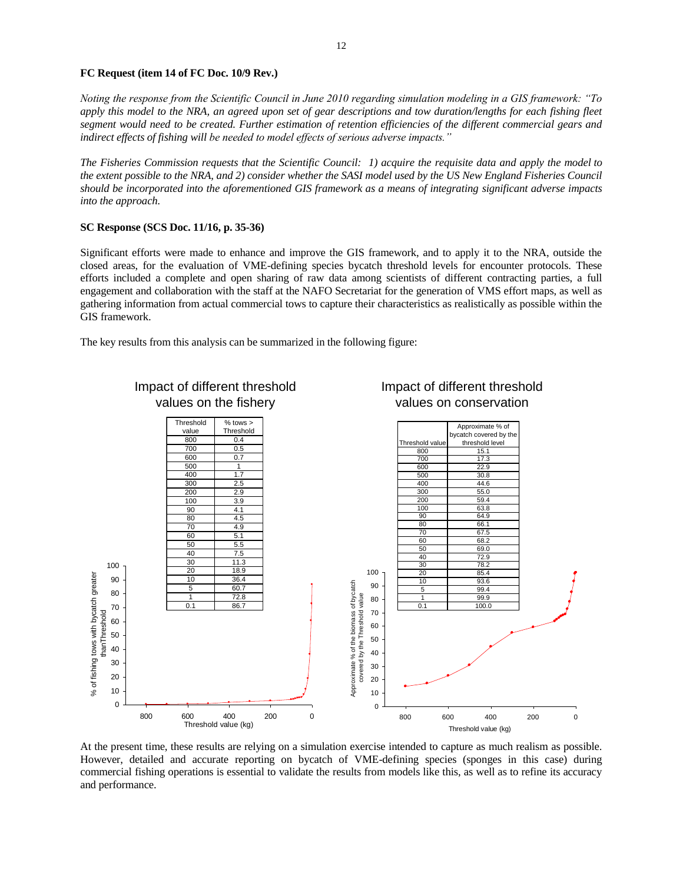### **FC Request (item 14 of FC Doc. 10/9 Rev.)**

*Noting the response from the Scientific Council in June 2010 regarding simulation modeling in a GIS framework: "To apply this model to the NRA, an agreed upon set of gear descriptions and tow duration/lengths for each fishing fleet segment would need to be created. Further estimation of retention efficiencies of the different commercial gears and indirect effects of fishing will be needed to model effects of serious adverse impacts."*

*The Fisheries Commission requests that the Scientific Council: 1) acquire the requisite data and apply the model to the extent possible to the NRA, and 2) consider whether the SASI model used by the US New England Fisheries Council should be incorporated into the aforementioned GIS framework as a means of integrating significant adverse impacts into the approach.*

### **SC Response (SCS Doc. 11/16, p. 35-36)**

Significant efforts were made to enhance and improve the GIS framework, and to apply it to the NRA, outside the closed areas, for the evaluation of VME-defining species bycatch threshold levels for encounter protocols. These efforts included a complete and open sharing of raw data among scientists of different contracting parties, a full engagement and collaboration with the staff at the NAFO Secretariat for the generation of VMS effort maps, as well as gathering information from actual commercial tows to capture their characteristics as realistically as possible within the GIS framework.

The key results from this analysis can be summarized in the following figure:



At the present time, these results are relying on a simulation exercise intended to capture as much realism as possible. However, detailed and accurate reporting on bycatch of VME-defining species (sponges in this case) during commercial fishing operations is essential to validate the results from models like this, as well as to refine its accuracy and performance.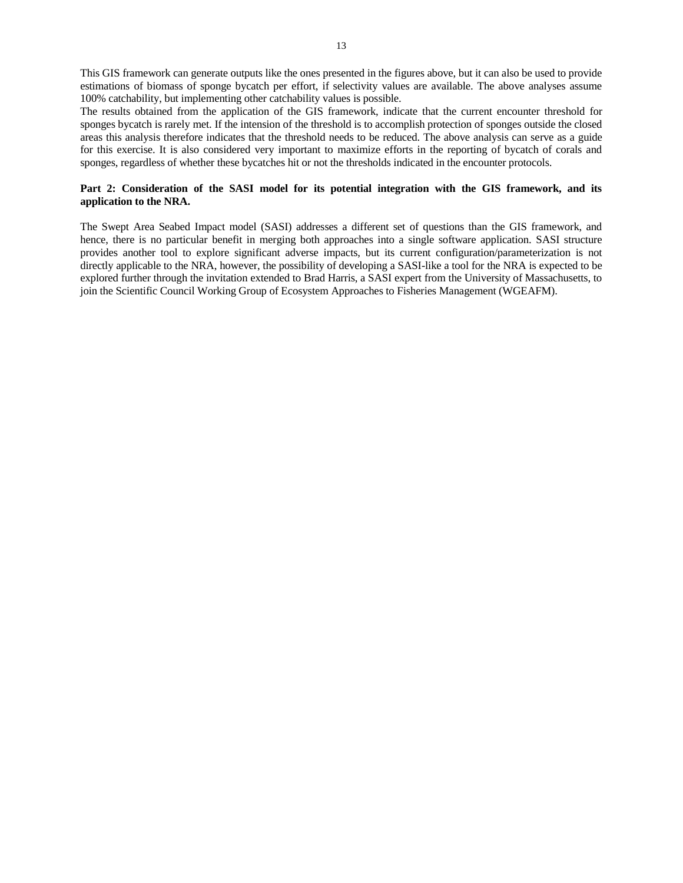This GIS framework can generate outputs like the ones presented in the figures above, but it can also be used to provide estimations of biomass of sponge bycatch per effort, if selectivity values are available. The above analyses assume 100% catchability, but implementing other catchability values is possible.

The results obtained from the application of the GIS framework, indicate that the current encounter threshold for sponges bycatch is rarely met. If the intension of the threshold is to accomplish protection of sponges outside the closed areas this analysis therefore indicates that the threshold needs to be reduced. The above analysis can serve as a guide for this exercise. It is also considered very important to maximize efforts in the reporting of bycatch of corals and sponges, regardless of whether these bycatches hit or not the thresholds indicated in the encounter protocols.

### **Part 2: Consideration of the SASI model for its potential integration with the GIS framework, and its application to the NRA.**

The Swept Area Seabed Impact model (SASI) addresses a different set of questions than the GIS framework, and hence, there is no particular benefit in merging both approaches into a single software application. SASI structure provides another tool to explore significant adverse impacts, but its current configuration/parameterization is not directly applicable to the NRA, however, the possibility of developing a SASI-like a tool for the NRA is expected to be explored further through the invitation extended to Brad Harris, a SASI expert from the University of Massachusetts, to join the Scientific Council Working Group of Ecosystem Approaches to Fisheries Management (WGEAFM).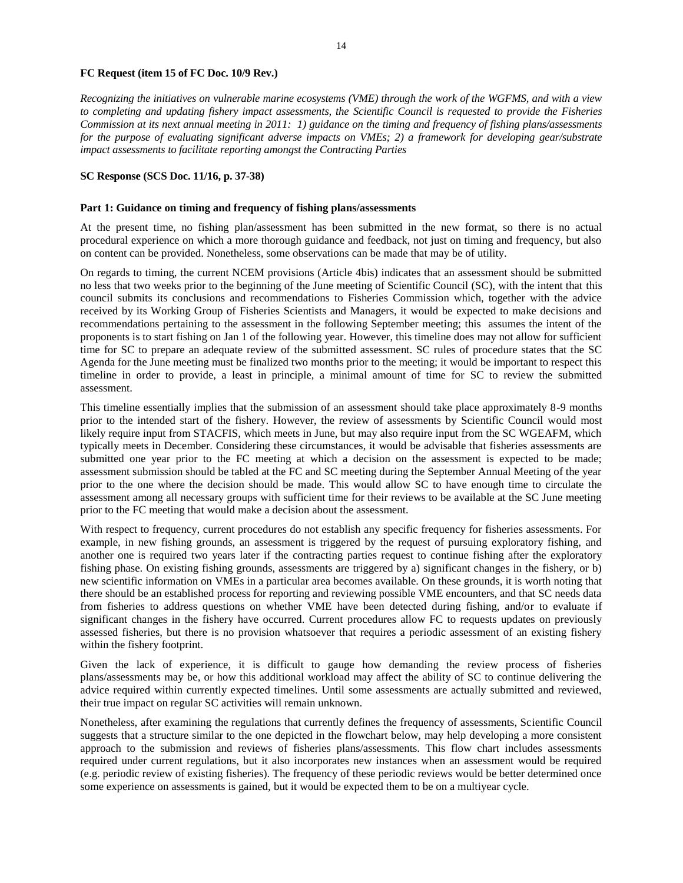#### **FC Request (item 15 of FC Doc. 10/9 Rev.)**

*Recognizing the initiatives on vulnerable marine ecosystems (VME) through the work of the WGFMS, and with a view to completing and updating fishery impact assessments, the Scientific Council is requested to provide the Fisheries Commission at its next annual meeting in 2011: 1) guidance on the timing and frequency of fishing plans/assessments*  for the purpose of evaluating significant adverse impacts on VMEs; 2) a framework for developing gear/substrate *impact assessments to facilitate reporting amongst the Contracting Parties*

#### **SC Response (SCS Doc. 11/16, p. 37-38)**

#### **Part 1: Guidance on timing and frequency of fishing plans/assessments**

At the present time, no fishing plan/assessment has been submitted in the new format, so there is no actual procedural experience on which a more thorough guidance and feedback, not just on timing and frequency, but also on content can be provided. Nonetheless, some observations can be made that may be of utility.

On regards to timing, the current NCEM provisions (Article 4bis) indicates that an assessment should be submitted no less that two weeks prior to the beginning of the June meeting of Scientific Council (SC), with the intent that this council submits its conclusions and recommendations to Fisheries Commission which, together with the advice received by its Working Group of Fisheries Scientists and Managers, it would be expected to make decisions and recommendations pertaining to the assessment in the following September meeting; this assumes the intent of the proponents is to start fishing on Jan 1 of the following year. However, this timeline does may not allow for sufficient time for SC to prepare an adequate review of the submitted assessment. SC rules of procedure states that the SC Agenda for the June meeting must be finalized two months prior to the meeting; it would be important to respect this timeline in order to provide, a least in principle, a minimal amount of time for SC to review the submitted assessment.

This timeline essentially implies that the submission of an assessment should take place approximately 8-9 months prior to the intended start of the fishery. However, the review of assessments by Scientific Council would most likely require input from STACFIS, which meets in June, but may also require input from the SC WGEAFM, which typically meets in December. Considering these circumstances, it would be advisable that fisheries assessments are submitted one year prior to the FC meeting at which a decision on the assessment is expected to be made; assessment submission should be tabled at the FC and SC meeting during the September Annual Meeting of the year prior to the one where the decision should be made. This would allow SC to have enough time to circulate the assessment among all necessary groups with sufficient time for their reviews to be available at the SC June meeting prior to the FC meeting that would make a decision about the assessment.

With respect to frequency, current procedures do not establish any specific frequency for fisheries assessments. For example, in new fishing grounds, an assessment is triggered by the request of pursuing exploratory fishing, and another one is required two years later if the contracting parties request to continue fishing after the exploratory fishing phase. On existing fishing grounds, assessments are triggered by a) significant changes in the fishery, or b) new scientific information on VMEs in a particular area becomes available. On these grounds, it is worth noting that there should be an established process for reporting and reviewing possible VME encounters, and that SC needs data from fisheries to address questions on whether VME have been detected during fishing, and/or to evaluate if significant changes in the fishery have occurred. Current procedures allow FC to requests updates on previously assessed fisheries, but there is no provision whatsoever that requires a periodic assessment of an existing fishery within the fishery footprint.

Given the lack of experience, it is difficult to gauge how demanding the review process of fisheries plans/assessments may be, or how this additional workload may affect the ability of SC to continue delivering the advice required within currently expected timelines. Until some assessments are actually submitted and reviewed, their true impact on regular SC activities will remain unknown.

Nonetheless, after examining the regulations that currently defines the frequency of assessments, Scientific Council suggests that a structure similar to the one depicted in the flowchart below, may help developing a more consistent approach to the submission and reviews of fisheries plans/assessments. This flow chart includes assessments required under current regulations, but it also incorporates new instances when an assessment would be required (e.g. periodic review of existing fisheries). The frequency of these periodic reviews would be better determined once some experience on assessments is gained, but it would be expected them to be on a multiyear cycle.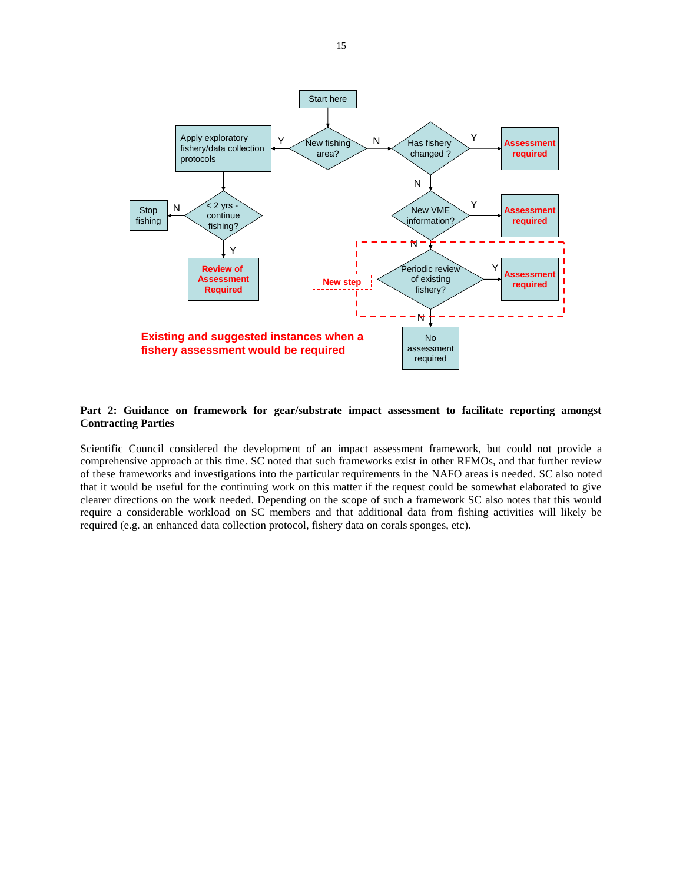

### **Part 2: Guidance on framework for gear/substrate impact assessment to facilitate reporting amongst Contracting Parties**

Scientific Council considered the development of an impact assessment framework, but could not provide a comprehensive approach at this time. SC noted that such frameworks exist in other RFMOs, and that further review of these frameworks and investigations into the particular requirements in the NAFO areas is needed. SC also noted that it would be useful for the continuing work on this matter if the request could be somewhat elaborated to give clearer directions on the work needed. Depending on the scope of such a framework SC also notes that this would require a considerable workload on SC members and that additional data from fishing activities will likely be required (e.g. an enhanced data collection protocol, fishery data on corals sponges, etc).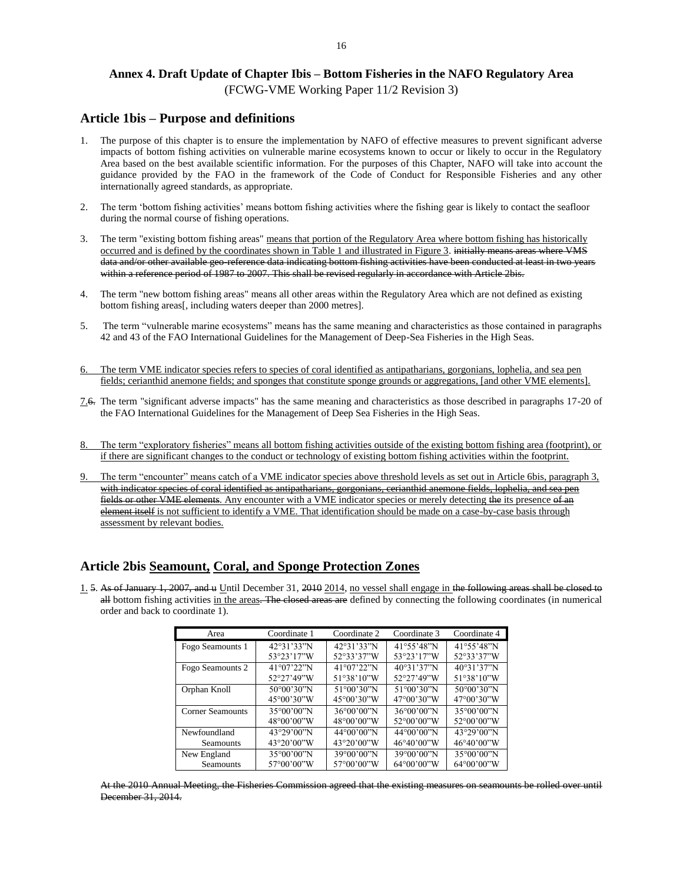# **Annex 4. Draft Update of Chapter Ibis – Bottom Fisheries in the NAFO Regulatory Area**

(FCWG-VME Working Paper 11/2 Revision 3)

## **Article 1bis – Purpose and definitions**

- 1. The purpose of this chapter is to ensure the implementation by NAFO of effective measures to prevent significant adverse impacts of bottom fishing activities on vulnerable marine ecosystems known to occur or likely to occur in the Regulatory Area based on the best available scientific information. For the purposes of this Chapter, NAFO will take into account the guidance provided by the FAO in the framework of the Code of Conduct for Responsible Fisheries and any other internationally agreed standards, as appropriate.
- 2. The term "bottom fishing activities" means bottom fishing activities where the fishing gear is likely to contact the seafloor during the normal course of fishing operations.
- 3. The term "existing bottom fishing areas" means that portion of the Regulatory Area where bottom fishing has historically occurred and is defined by the coordinates shown in Table 1 and illustrated in Figure 3. initially means areas where VMS data and/or other available geo-reference data indicating bottom fishing activities have been conducted at least in two years within a reference period of 1987 to 2007. This shall be revised regularly in accordance with Article 2bis.
- 4. The term "new bottom fishing areas" means all other areas within the Regulatory Area which are not defined as existing bottom fishing areas[, including waters deeper than 2000 metres].
- 5. The term "vulnerable marine ecosystems" means has the same meaning and characteristics as those contained in paragraphs 42 and 43 of the FAO International Guidelines for the Management of Deep-Sea Fisheries in the High Seas.
- 6. The term VME indicator species refers to species of coral identified as antipatharians, gorgonians, lophelia, and sea pen fields; cerianthid anemone fields; and sponges that constitute sponge grounds or aggregations, [and other VME elements].
- 7.6. The term "significant adverse impacts" has the same meaning and characteristics as those described in paragraphs 17-20 of the FAO International Guidelines for the Management of Deep Sea Fisheries in the High Seas.
- 8. The term "exploratory fisheries" means all bottom fishing activities outside of the existing bottom fishing area (footprint), or if there are significant changes to the conduct or technology of existing bottom fishing activities within the footprint.
- 9. The term "encounter" means catch of a VME indicator species above threshold levels as set out in Article 6bis, paragraph 3, with indicator species of coral identified as antipatharians, gorgonians, cerianthid anemone fields, lophelia, and sea pen fields or other VME elements. Any encounter with a VME indicator species or merely detecting the its presence of an element itself is not sufficient to identify a VME. That identification should be made on a case-by-case basis through assessment by relevant bodies.

# **Article 2bis Seamount, Coral, and Sponge Protection Zones**

1. 5. As of January 1, 2007, and u Until December 31, 2010 2014, no vessel shall engage in the following areas shall be closed to all bottom fishing activities in the areas. The closed areas are defined by connecting the following coordinates (in numerical order and back to coordinate 1).

| Area                    | Coordinate 1 | Coordinate 2 | Coordinate 3          | Coordinate 4          |
|-------------------------|--------------|--------------|-----------------------|-----------------------|
| Fogo Seamounts 1        | 42°31'33"N   | 42°31'33"N   | 41°55'48"N            | 41°55'48"N            |
|                         | 53°23'17"W   | 52°33'37"W   | 53°23'17"W            | 52°33'37"W            |
| Fogo Seamounts 2        | 41°07'22"N   | 41°07'22"N   | 40°31'37"N            | $40^{\circ}31'37''N$  |
|                         | 52°27'49"W   | 51°38'10"W   | 52°27'49"W            | 51°38'10"W            |
| Orphan Knoll            | 50°00'30"N   | 51°00'30"N   | 51°00'30"N            | $50^{\circ}00'30''$ N |
|                         | 45°00'30"W   | 45°00'30"W   | 47°00'30"W            | 47°00'30"W            |
| <b>Corner Seamounts</b> | 35°00'00"N   | 36°00'00"N   | $36^{\circ}00'00''$ N | $35^{\circ}00'00''$ N |
|                         | 48°00'00"W   | 48°00'00"W   | 52°00'00"W            | 52°00'00"W            |
| Newfoundland            | 43°29'00"N   | 44°00'00"N   | 44°00'00"N            | 43°29'00"N            |
| <b>Seamounts</b>        | 43°20'00"W   | 43°20'00"W   | 46°40'00"W            | 46°40'00"W            |
| New England             | 35°00'00"N   | 39°00'00"N   | 39°00'00"N            | $35^{\circ}00'00''$ N |
| Seamounts               | 57°00'00"W   | 57°00'00"W   | 64°00'00"W            | $64^{\circ}00'00''$ W |

At the 2010 Annual Meeting, the Fisheries Commission agreed that the existing measures on seamounts be rolled over until December 31, 2014.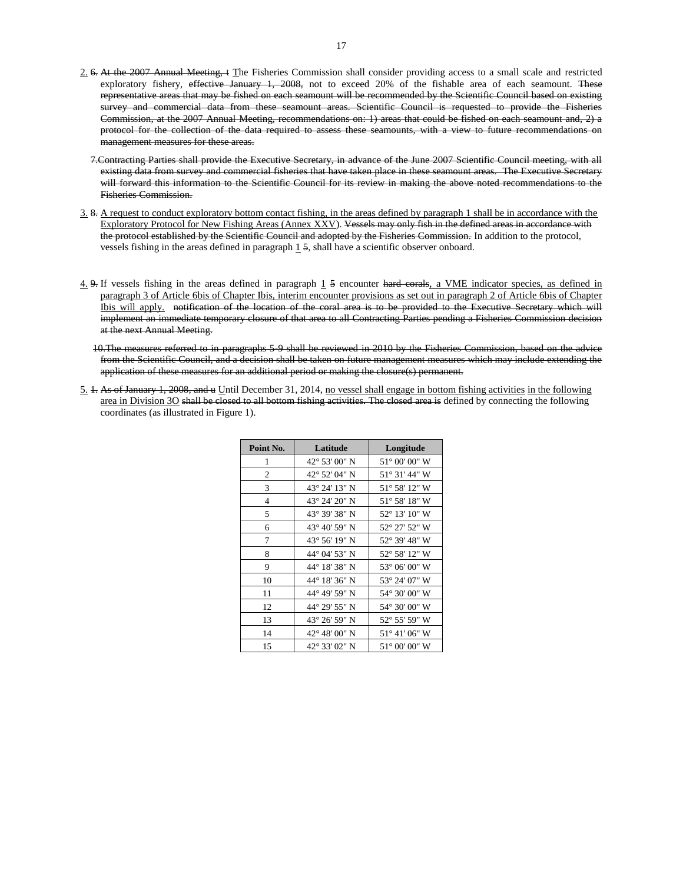- 2. 6. At the 2007 Annual Meeting, t The Fisheries Commission shall consider providing access to a small scale and restricted exploratory fishery, effective January 1, 2008, not to exceed 20% of the fishable area of each seamount. These representative areas that may be fished on each seamount will be recommended by the Scientific Council based on existing survey and commercial data from these seamount areas. Scientific Council is requested to provide the Fisheries Commission, at the 2007 Annual Meeting, recommendations on: 1) areas that could be fished on each seamount and, 2) a protocol for the collection of the data required to assess these seamounts, with a view to future recommendations on management measures for these areas.
	- 7.Contracting Parties shall provide the Executive Secretary, in advance of the June 2007 Scientific Council meeting, with all existing data from survey and commercial fisheries that have taken place in these seamount areas. The Executive Secretary will forward this information to the Scientific Council for its review in making the above noted recommendations to the Fisheries Commission.
- 3. 8. A request to conduct exploratory bottom contact fishing, in the areas defined by paragraph 1 shall be in accordance with the Exploratory Protocol for New Fishing Areas (Annex XXV). Vessels may only fish in the defined areas in accordance with the protocol established by the Scientific Council and adopted by the Fisheries Commission. In addition to the protocol, vessels fishing in the areas defined in paragraph  $1, 5$ , shall have a scientific observer onboard.
- 4. 9. If vessels fishing in the areas defined in paragraph 1 5 encounter hard corals, a VME indicator species, as defined in paragraph 3 of Article 6bis of Chapter Ibis, interim encounter provisions as set out in paragraph 2 of Article 6bis of Chapter Ibis will apply. notification of the location of the coral area is to be provided to the Executive Secretary which will implement an immediate temporary closure of that area to all Contracting Parties pending a Fisheries Commission decision at the next Annual Meeting.
	- 10.The measures referred to in paragraphs 5-9 shall be reviewed in 2010 by the Fisheries Commission, based on the advice from the Scientific Council, and a decision shall be taken on future management measures which may include extending the application of these measures for an additional period or making the closure(s) permanent.
- 5. 1. As of January 1, 2008, and u Until December 31, 2014, no vessel shall engage in bottom fishing activities in the following area in Division 30 shall be closed to all bottom fishing activities. The closed area is defined by connecting the following coordinates (as illustrated in Figure 1).

| Point No. | Latitude      | Longitude               |
|-----------|---------------|-------------------------|
| 1         | 42° 53′ 00″ N | $51^{\circ}$ 00' 00" W  |
| 2         | 42° 52′ 04″ N | $51^{\circ} 31' 44'' W$ |
| 3         | 43° 24′ 13″ N | 51° 58′ 12″ W           |
| 4         | 43° 24′ 20″ N | 51° 58' 18" W           |
| 5         | 43° 39' 38" N | 52° 13' 10" W           |
| 6         | 43° 40' 59" N | 52° 27' 52" W           |
| 7         | 43° 56' 19" N | 52° 39' 48" W           |
| 8         | 44° 04′ 53″ N | 52° 58′ 12″ W           |
| 9         | 44° 18' 38" N | 53° 06′ 00″ W           |
| 10        | 44° 18' 36" N | 53° 24′ 07″ W           |
| 11        | 44° 49' 59" N | 54° 30' 00" W           |
| 12        | 44° 29' 55" N | 54° 30′ 00″ W           |
| 13        | 43° 26' 59" N | 52° 55' 59" W           |
| 14        | 42° 48' 00" N | $51^{\circ}$ 41' 06" W  |
| 15        | 42° 33' 02" N | 51° 00' 00" W           |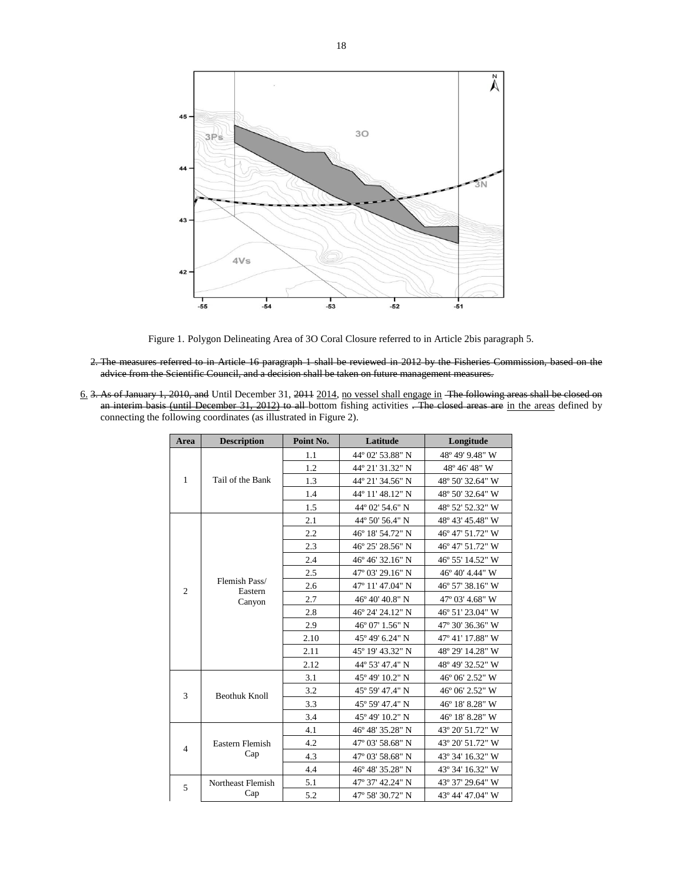

Figure 1. Polygon Delineating Area of 3O Coral Closure referred to in Article 2bis paragraph 5.

- 2. The measures referred to in Article 16 paragraph 1 shall be reviewed in 2012 by the Fisheries Commission, based on the advice from the Scientific Council, and a decision shall be taken on future management measures.
- 6. 3. As of January 1, 2010, and Until December 31, 2011 2014, no vessel shall engage in The following areas shall be closed on an interim basis (until December 31, 2012) to all bottom fishing activities . The closed areas are in the areas defined by connecting the following coordinates (as illustrated in Figure 2).

| Area           | <b>Description</b>                 | Point No. | Latitude         | Longitude        |
|----------------|------------------------------------|-----------|------------------|------------------|
| $\mathbf{1}$   | Tail of the Bank                   | 1.1       | 44° 02' 53.88" N | 48° 49' 9.48" W  |
|                |                                    | 1.2       | 44° 21′ 31.32″ N | 48° 46' 48" W    |
|                |                                    | 1.3       | 44° 21′ 34.56″ N | 48° 50' 32.64" W |
|                |                                    | 1.4       | 44° 11' 48.12" N | 48° 50' 32.64" W |
|                |                                    | 1.5       | 44° 02′ 54.6″ N  | 48° 52' 52.32" W |
|                |                                    | 2.1       | 44° 50' 56.4" N  | 48° 43' 45.48" W |
|                |                                    | 2.2       | 46° 18′ 54.72" N | 46° 47' 51.72" W |
|                |                                    | 2.3       | 46° 25′ 28.56″ N | 46° 47' 51.72" W |
|                |                                    | 2.4       | 46° 46' 32.16" N | 46° 55' 14.52" W |
|                | Flemish Pass/<br>Eastern<br>Canyon | 2.5       | 47° 03' 29.16" N | 46° 40′ 4.44″ W  |
| $\overline{2}$ |                                    | 2.6       | 47° 11′ 47.04″ N | 46° 57' 38.16" W |
|                |                                    | 2.7       | 46° 40' 40.8" N  | 47° 03′ 4.68″ W  |
|                |                                    | 2.8       | 46° 24' 24.12" N | 46° 51′ 23.04″ W |
|                |                                    | 2.9       | 46° 07' 1.56" N  | 47° 30′ 36.36″ W |
|                |                                    | 2.10      | 45° 49' 6.24" N  | 47° 41' 17.88" W |
|                |                                    | 2.11      | 45° 19' 43.32" N | 48° 29' 14.28" W |
|                |                                    | 2.12      | 44° 53' 47.4" N  | 48° 49' 32.52" W |
|                | <b>Beothuk Knoll</b>               | 3.1       | 45° 49' 10.2" N  | 46° 06' 2.52" W  |
| 3              |                                    | 3.2       | 45° 59' 47.4" N  | 46° 06' 2.52" W  |
|                |                                    | 3.3       | 45° 59' 47.4" N  | 46° 18′ 8.28″ W  |
|                |                                    | 3.4       | 45° 49' 10.2" N  | 46° 18′ 8.28″ W  |
|                | <b>Eastern Flemish</b><br>Cap      | 4.1       | 46° 48′ 35.28″ N | 43° 20′ 51.72″ W |
|                |                                    | 4.2       | 47° 03' 58.68" N | 43° 20′ 51.72″ W |
| $\overline{4}$ |                                    | 4.3       | 47° 03' 58.68" N | 43° 34′ 16.32″ W |
|                |                                    | 4.4       | 46° 48′ 35.28″ N | 43° 34′ 16.32″ W |
| 5              | Northeast Flemish<br>Cap           | 5.1       | 47° 37' 42.24" N | 43° 37' 29.64" W |
|                |                                    | 5.2       | 47° 58′ 30.72″ N | 43° 44' 47.04" W |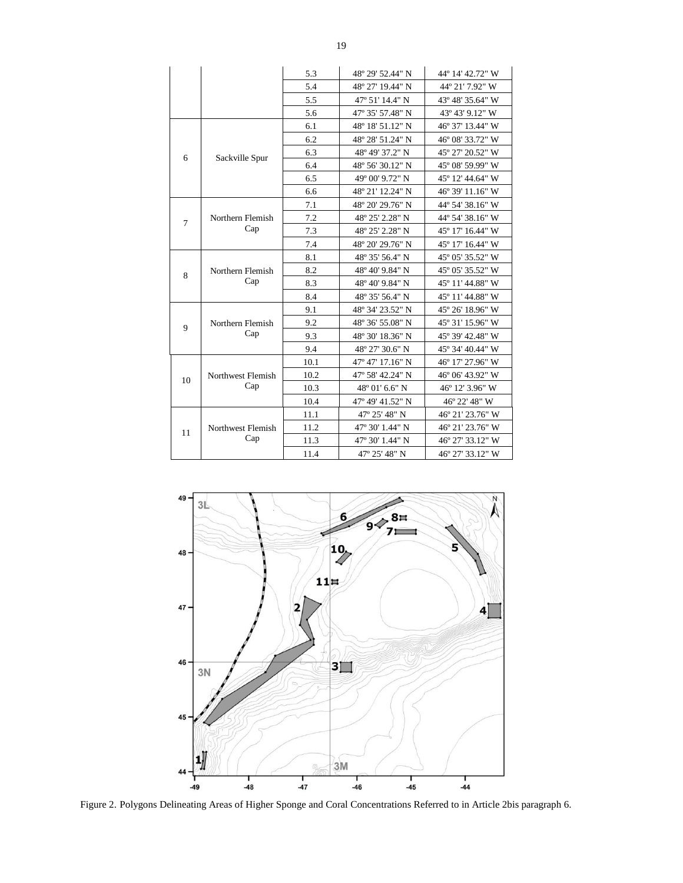



Figure 2. Polygons Delineating Areas of Higher Sponge and Coral Concentrations Referred to in Article 2bis paragraph 6.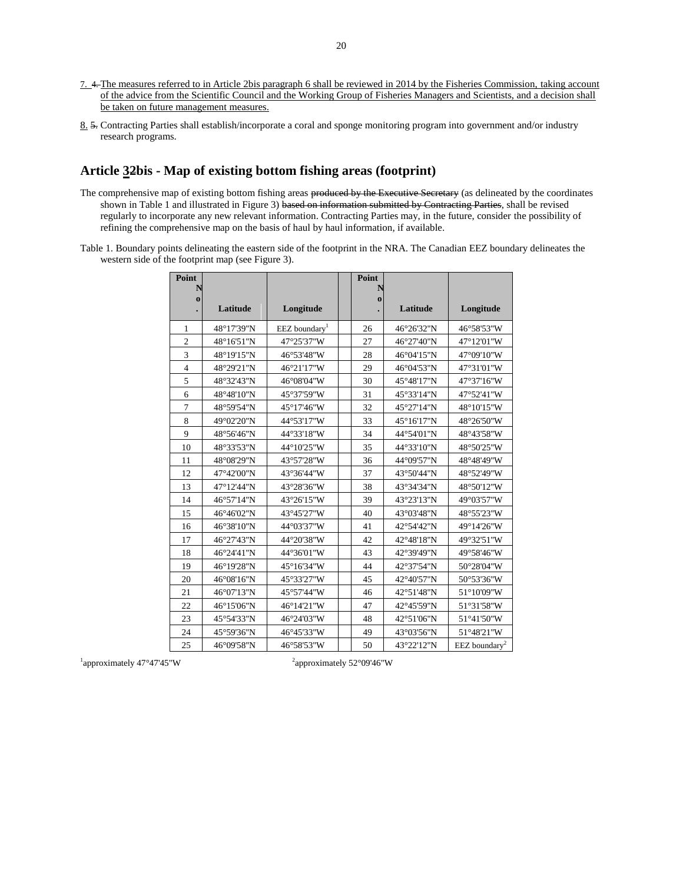- 7. 4. The measures referred to in Article 2bis paragraph 6 shall be reviewed in 2014 by the Fisheries Commission, taking account of the advice from the Scientific Council and the Working Group of Fisheries Managers and Scientists, and a decision shall be taken on future management measures.
- 8. 5. Contracting Parties shall establish/incorporate a coral and sponge monitoring program into government and/or industry research programs.

# **Article 32bis - Map of existing bottom fishing areas (footprint)**

- The comprehensive map of existing bottom fishing areas produced by the Executive Secretary (as delineated by the coordinates shown in Table 1 and illustrated in Figure 3) based on information submitted by Contracting Parties, shall be revised regularly to incorporate any new relevant information. Contracting Parties may, in the future, consider the possibility of refining the comprehensive map on the basis of haul by haul information, if available.
- Table 1. Boundary points delineating the eastern side of the footprint in the NRA. The Canadian EEZ boundary delineates the western side of the footprint map (see Figure 3).

| Point          |            |                           | Point         |            |                           |
|----------------|------------|---------------------------|---------------|------------|---------------------------|
| N<br>$\bf{0}$  |            |                           | N<br>$\bf{0}$ |            |                           |
|                | Latitude   | Longitude                 |               | Latitude   | Longitude                 |
| 1              | 48°17'39"N | EEZ boundary <sup>1</sup> | 26            | 46°26'32"N | 46°58'53"W                |
| $\overline{2}$ | 48°16'51"N | 47°25'37"W                | 27            | 46°27'40"N | 47°12'01"W                |
| 3              | 48°19'15"N | 46°53'48"W                | 28            | 46°04'15"N | 47°09'10"W                |
| $\overline{4}$ | 48°29'21"N | 46°21'17"W                | 29            | 46°04'53"N | 47°31'01"W                |
| 5              | 48°32'43"N | 46°08′04″W                | 30            | 45°48'17"N | 47°37'16"W                |
| 6              | 48°48'10"N | 45°37'59"W                | 31            | 45°33'14"N | 47°52'41"W                |
| 7              | 48°59'54"N | 45°17'46"W                | 32            | 45°27'14"N | 48°10'15"W                |
| 8              | 49°02'20"N | 44°53'17"W                | 33            | 45°16'17"N | 48°26'50"W                |
| 9              | 48°56'46"N | 44°33'18"W                | 34            | 44°54'01"N | 48°43'58"W                |
| 10             | 48°33'53"N | 44°10'25"W                | 35            | 44°33'10"N | 48°50'25"W                |
| 11             | 48°08'29"N | 43°57'28"W                | 36            | 44°09'57"N | 48°48'49"W                |
| 12             | 47°42'00"N | 43°36'44"W                | 37            | 43°50'44"N | 48°52'49"W                |
| 13             | 47°12'44"N | 43°28'36"W                | 38            | 43°34'34"N | 48°50'12"W                |
| 14             | 46°57'14"N | 43°26'15"W                | 39            | 43°23'13"N | 49°03'57"W                |
| 15             | 46°46'02"N | 43°45'27"W                | 40            | 43°03'48"N | 48°55'23"W                |
| 16             | 46°38'10"N | 44°03'37"W                | 41            | 42°54'42"N | 49°14'26"W                |
| 17             | 46°27'43"N | 44°20'38"W                | 42            | 42°48'18"N | 49°32'51"W                |
| 18             | 46°24'41"N | 44°36'01"W                | 43            | 42°39'49"N | 49°58'46"W                |
| 19             | 46°19'28"N | 45°16'34"W                | 44            | 42°37'54"N | 50°28'04"W                |
| 20             | 46°08'16"N | 45°33'27"W                | 45            | 42°40'57"N | 50°53'36"W                |
| 21             | 46°07'13"N | 45°57'44"W                | 46            | 42°51'48"N | 51°10'09"W                |
| 22             | 46°15'06"N | 46°14'21"W                | 47            | 42°45'59"N | 51°31'58"W                |
| 23             | 45°54'33"N | 46°24′03″W                | 48            | 42°51'06"N | 51°41'50"W                |
| 24             | 45°59'36"N | 46°45'33"W                | 49            | 43°03'56"N | 51°48'21"W                |
| 25             | 46°09'58"N | 46°58'53"W                | 50            | 43°22'12"N | EEZ boundary <sup>2</sup> |

1 approximately 47°47'45"W

<sup>2</sup>approximately 52°09'46"W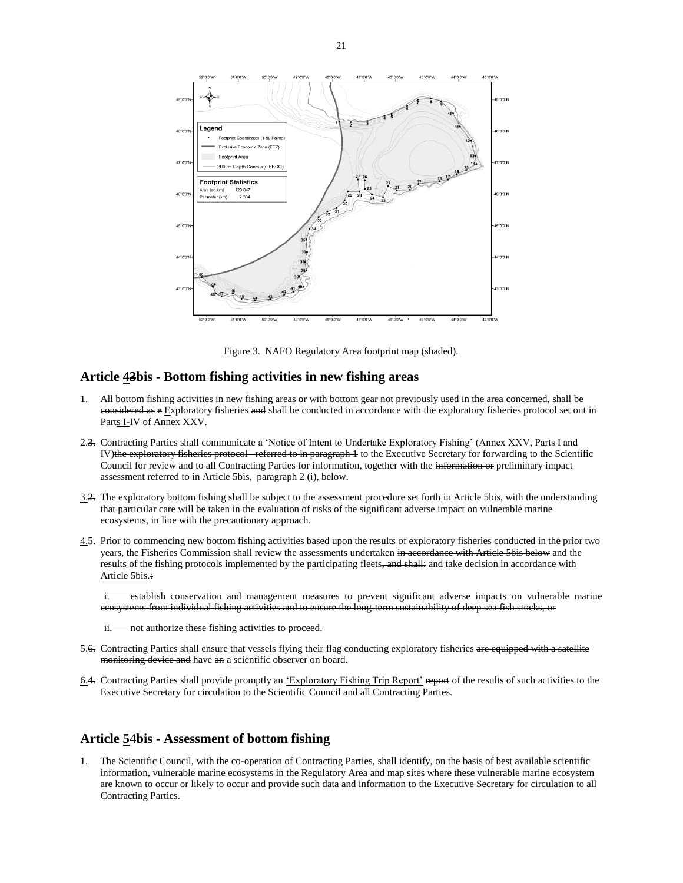

Figure 3. NAFO Regulatory Area footprint map (shaded).

### **Article 43bis - Bottom fishing activities in new fishing areas**

- 1. All bottom fishing activities in new fishing areas or with bottom gear not previously used in the area concerned, shall be considered as e Exploratory fisheries and shall be conducted in accordance with the exploratory fisheries protocol set out in Parts I-IV of Annex XXV.
- 2.3. Contracting Parties shall communicate a "Notice of Intent to Undertake Exploratory Fishing" (Annex XXV, Parts I and IV)the exploratory fisheries protocol referred to in paragraph 1 to the Executive Secretary for forwarding to the Scientific Council for review and to all Contracting Parties for information, together with the information or preliminary impact assessment referred to in Article 5bis, paragraph 2 (i), below.
- $3.2$ . The exploratory bottom fishing shall be subject to the assessment procedure set forth in Article 5bis, with the understanding that particular care will be taken in the evaluation of risks of the significant adverse impact on vulnerable marine ecosystems, in line with the precautionary approach.
- 4.5. Prior to commencing new bottom fishing activities based upon the results of exploratory fisheries conducted in the prior two years, the Fisheries Commission shall review the assessments undertaken in accordance with Article 5bis below and the results of the fishing protocols implemented by the participating fleets, and shall: and take decision in accordance with Article 5bis.:

iblish conservation and management measures to prevent significant adverse impacts on vulnerable marine ecosystems from individual fishing activities and to ensure the long-term sustainability of deep sea fish stocks, or

#### ii. not authorize these fishing activities to proceed.

- 5.6. Contracting Parties shall ensure that vessels flying their flag conducting exploratory fisheries are equipped with a satellite monitoring device and have an a scientific observer on board.
- 6.4. Contracting Parties shall provide promptly an 'Exploratory Fishing Trip Report' report of the results of such activities to the Executive Secretary for circulation to the Scientific Council and all Contracting Parties.

### **Article 5**4**bis - Assessment of bottom fishing**

1. The Scientific Council, with the co-operation of Contracting Parties, shall identify, on the basis of best available scientific information, vulnerable marine ecosystems in the Regulatory Area and map sites where these vulnerable marine ecosystem are known to occur or likely to occur and provide such data and information to the Executive Secretary for circulation to all Contracting Parties.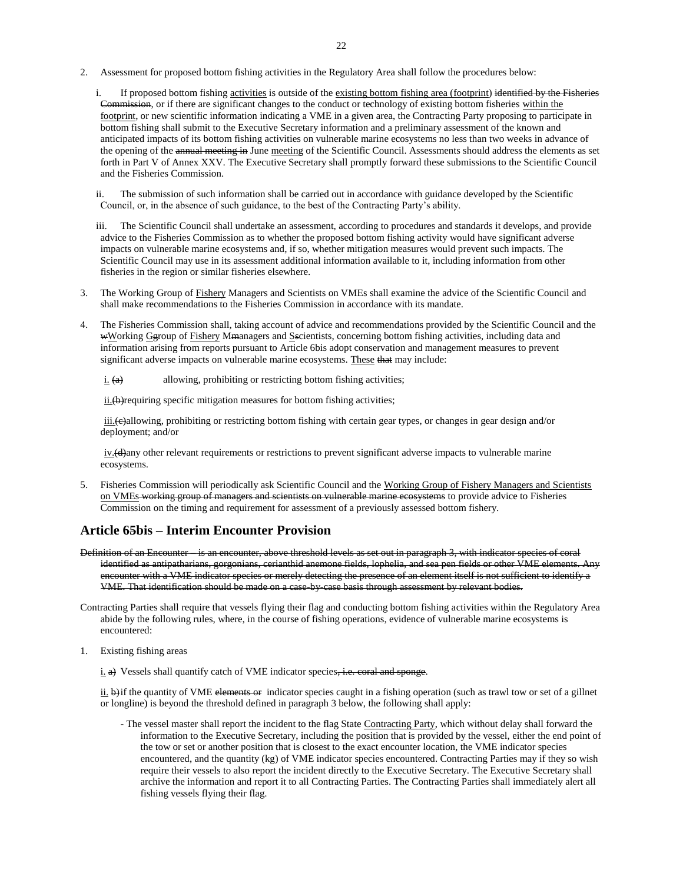- 2. Assessment for proposed bottom fishing activities in the Regulatory Area shall follow the procedures below:
	- i. If proposed bottom fishing activities is outside of the existing bottom fishing area (footprint) identified by the Fisheries Commission, or if there are significant changes to the conduct or technology of existing bottom fisheries within the footprint, or new scientific information indicating a VME in a given area, the Contracting Party proposing to participate in bottom fishing shall submit to the Executive Secretary information and a preliminary assessment of the known and anticipated impacts of its bottom fishing activities on vulnerable marine ecosystems no less than two weeks in advance of the opening of the annual meeting in June meeting of the Scientific Council. Assessments should address the elements as set forth in Part V of Annex XXV. The Executive Secretary shall promptly forward these submissions to the Scientific Council and the Fisheries Commission.
	- ii. The submission of such information shall be carried out in accordance with guidance developed by the Scientific Council, or, in the absence of such guidance, to the best of the Contracting Party"s ability.
	- iii. The Scientific Council shall undertake an assessment, according to procedures and standards it develops, and provide advice to the Fisheries Commission as to whether the proposed bottom fishing activity would have significant adverse impacts on vulnerable marine ecosystems and, if so, whether mitigation measures would prevent such impacts. The Scientific Council may use in its assessment additional information available to it, including information from other fisheries in the region or similar fisheries elsewhere.
- 3. The Working Group of Fishery Managers and Scientists on VMEs shall examine the advice of the Scientific Council and shall make recommendations to the Fisheries Commission in accordance with its mandate.
- 4. The Fisheries Commission shall, taking account of advice and recommendations provided by the Scientific Council and the wWorking Geroup of Fishery Mmanagers and Secientists, concerning bottom fishing activities, including data and information arising from reports pursuant to Article 6bis adopt conservation and management measures to prevent significant adverse impacts on vulnerable marine ecosystems. These that may include:
	- i. (a) allowing, prohibiting or restricting bottom fishing activities;

 $i$ <u>i</u>.(b) requiring specific mitigation measures for bottom fishing activities;

iii.(c)allowing, prohibiting or restricting bottom fishing with certain gear types, or changes in gear design and/or deployment; and/or

iv.(d)any other relevant requirements or restrictions to prevent significant adverse impacts to vulnerable marine ecosystems.

5. Fisheries Commission will periodically ask Scientific Council and the Working Group of Fishery Managers and Scientists on VMEs working group of managers and scientists on vulnerable marine ecosystems to provide advice to Fisheries Commission on the timing and requirement for assessment of a previously assessed bottom fishery.

# **Article 65bis – Interim Encounter Provision**

- Definition of an Encounter is an encounter, above threshold levels as set out in paragraph 3, with indicator species of coral identified as antipatharians, gorgonians, cerianthid anemone fields, lophelia, and sea pen fields or other VME elements. Any encounter with a VME indicator species or merely detecting the presence of an element itself is not sufficient to identify a VME. That identification should be made on a case-by-case basis through assessment by relevant bodies.
- Contracting Parties shall require that vessels flying their flag and conducting bottom fishing activities within the Regulatory Area abide by the following rules, where, in the course of fishing operations, evidence of vulnerable marine ecosystems is encountered:
- 1. Existing fishing areas

i. a) Vessels shall quantify catch of VME indicator species, *i.e.* coral and sponge.

ii.  $\theta$  if the quantity of VME elements or indicator species caught in a fishing operation (such as trawl tow or set of a gillnet or longline) is beyond the threshold defined in paragraph 3 below, the following shall apply:

- The vessel master shall report the incident to the flag State Contracting Party, which without delay shall forward the information to the Executive Secretary, including the position that is provided by the vessel, either the end point of the tow or set or another position that is closest to the exact encounter location, the VME indicator species encountered, and the quantity (kg) of VME indicator species encountered. Contracting Parties may if they so wish require their vessels to also report the incident directly to the Executive Secretary. The Executive Secretary shall archive the information and report it to all Contracting Parties. The Contracting Parties shall immediately alert all fishing vessels flying their flag.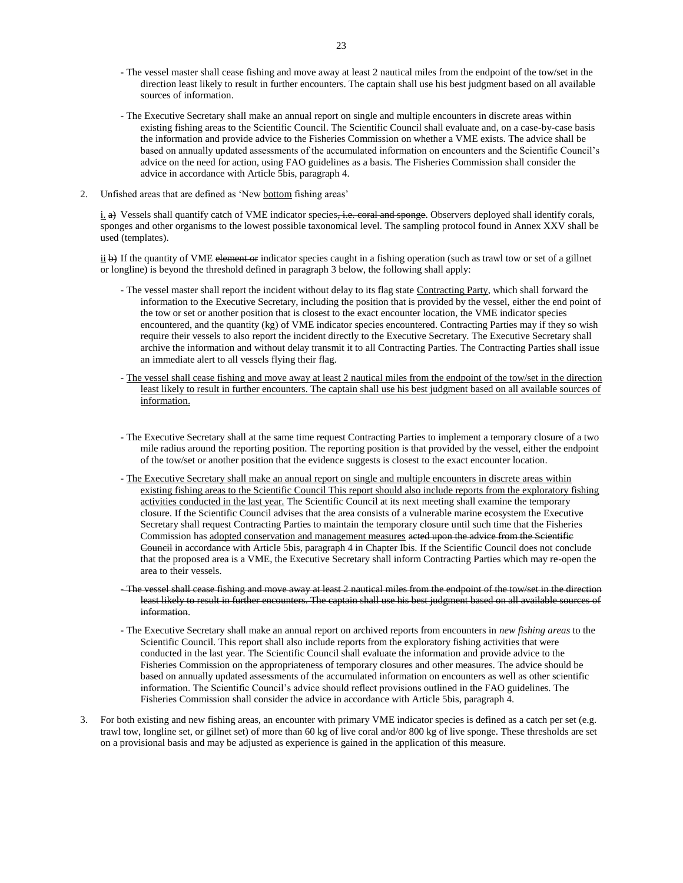- The vessel master shall cease fishing and move away at least 2 nautical miles from the endpoint of the tow/set in the direction least likely to result in further encounters. The captain shall use his best judgment based on all available sources of information.
- The Executive Secretary shall make an annual report on single and multiple encounters in discrete areas within existing fishing areas to the Scientific Council. The Scientific Council shall evaluate and, on a case-by-case basis the information and provide advice to the Fisheries Commission on whether a VME exists. The advice shall be based on annually updated assessments of the accumulated information on encounters and the Scientific Council"s advice on the need for action, using FAO guidelines as a basis. The Fisheries Commission shall consider the advice in accordance with Article 5bis, paragraph 4.
- 2. Unfished areas that are defined as 'New bottom fishing areas'

i. a) Vessels shall quantify catch of VME indicator species, i.e. coral and sponge. Observers deployed shall identify corals, sponges and other organisms to the lowest possible taxonomical level. The sampling protocol found in Annex XXV shall be used (templates).

 $\underline{i}$  b) If the quantity of VME element or indicator species caught in a fishing operation (such as trawl tow or set of a gillnet or longline) is beyond the threshold defined in paragraph 3 below, the following shall apply:

- The vessel master shall report the incident without delay to its flag state Contracting Party, which shall forward the information to the Executive Secretary, including the position that is provided by the vessel, either the end point of the tow or set or another position that is closest to the exact encounter location, the VME indicator species encountered, and the quantity (kg) of VME indicator species encountered. Contracting Parties may if they so wish require their vessels to also report the incident directly to the Executive Secretary. The Executive Secretary shall archive the information and without delay transmit it to all Contracting Parties. The Contracting Parties shall issue an immediate alert to all vessels flying their flag.
- The vessel shall cease fishing and move away at least 2 nautical miles from the endpoint of the tow/set in the direction least likely to result in further encounters. The captain shall use his best judgment based on all available sources of information.
- The Executive Secretary shall at the same time request Contracting Parties to implement a temporary closure of a two mile radius around the reporting position. The reporting position is that provided by the vessel, either the endpoint of the tow/set or another position that the evidence suggests is closest to the exact encounter location.
- The Executive Secretary shall make an annual report on single and multiple encounters in discrete areas within existing fishing areas to the Scientific Council This report should also include reports from the exploratory fishing activities conducted in the last year. The Scientific Council at its next meeting shall examine the temporary closure. If the Scientific Council advises that the area consists of a vulnerable marine ecosystem the Executive Secretary shall request Contracting Parties to maintain the temporary closure until such time that the Fisheries Commission has adopted conservation and management measures acted upon the advice from the Scientific Council in accordance with Article 5bis, paragraph 4 in Chapter Ibis. If the Scientific Council does not conclude that the proposed area is a VME, the Executive Secretary shall inform Contracting Parties which may re-open the area to their vessels.
- The vessel shall cease fishing and move away at least 2 nautical miles from the endpoint of the tow/set in the direction least likely to result in further encounters. The captain shall use his best judgment based on all available sources of information.
- The Executive Secretary shall make an annual report on archived reports from encounters in *new fishing areas* to the Scientific Council. This report shall also include reports from the exploratory fishing activities that were conducted in the last year. The Scientific Council shall evaluate the information and provide advice to the Fisheries Commission on the appropriateness of temporary closures and other measures. The advice should be based on annually updated assessments of the accumulated information on encounters as well as other scientific information. The Scientific Council"s advice should reflect provisions outlined in the FAO guidelines. The Fisheries Commission shall consider the advice in accordance with Article 5bis, paragraph 4.
- 3. For both existing and new fishing areas, an encounter with primary VME indicator species is defined as a catch per set (e.g. trawl tow, longline set, or gillnet set) of more than 60 kg of live coral and/or 800 kg of live sponge. These thresholds are set on a provisional basis and may be adjusted as experience is gained in the application of this measure.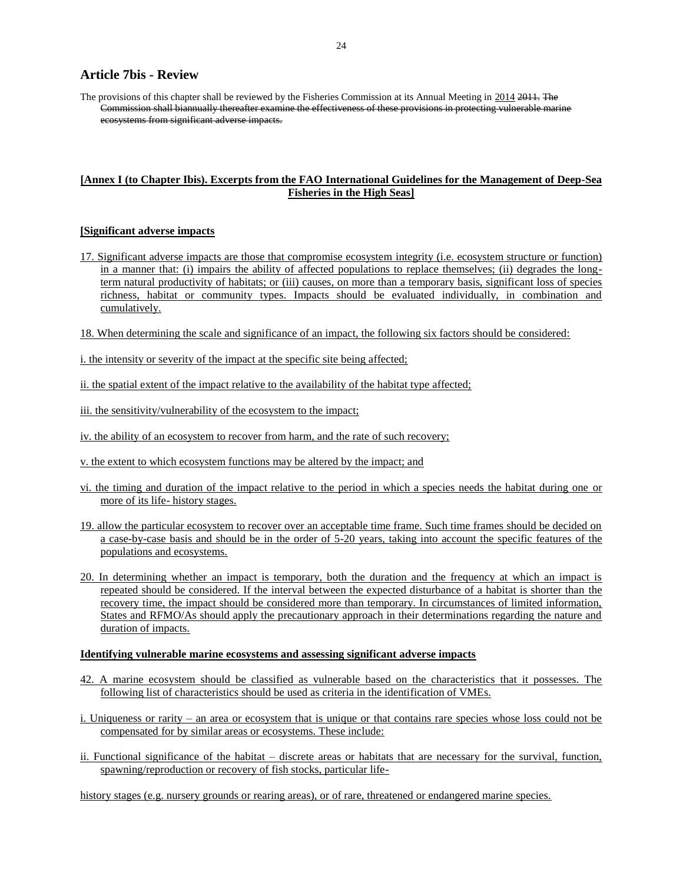# **Article 7bis - Review**

The provisions of this chapter shall be reviewed by the Fisheries Commission at its Annual Meeting in 2014 2011. The Commission shall biannually thereafter examine the effectiveness of these provisions in protecting vulnerable marine ecosystems from significant adverse impacts.

### **[Annex I (to Chapter Ibis). Excerpts from the FAO International Guidelines for the Management of Deep-Sea Fisheries in the High Seas]**

### **[Significant adverse impacts**

- 17. Significant adverse impacts are those that compromise ecosystem integrity (i.e. ecosystem structure or function) in a manner that: (i) impairs the ability of affected populations to replace themselves; (ii) degrades the longterm natural productivity of habitats; or (iii) causes, on more than a temporary basis, significant loss of species richness, habitat or community types. Impacts should be evaluated individually, in combination and cumulatively.
- 18. When determining the scale and significance of an impact, the following six factors should be considered:

i. the intensity or severity of the impact at the specific site being affected;

- ii. the spatial extent of the impact relative to the availability of the habitat type affected;
- iii. the sensitivity/vulnerability of the ecosystem to the impact;
- iv. the ability of an ecosystem to recover from harm, and the rate of such recovery;
- v. the extent to which ecosystem functions may be altered by the impact; and
- vi. the timing and duration of the impact relative to the period in which a species needs the habitat during one or more of its life- history stages.
- 19. allow the particular ecosystem to recover over an acceptable time frame. Such time frames should be decided on a case-by-case basis and should be in the order of 5-20 years, taking into account the specific features of the populations and ecosystems.
- 20. In determining whether an impact is temporary, both the duration and the frequency at which an impact is repeated should be considered. If the interval between the expected disturbance of a habitat is shorter than the recovery time, the impact should be considered more than temporary. In circumstances of limited information, States and RFMO/As should apply the precautionary approach in their determinations regarding the nature and duration of impacts.

### **Identifying vulnerable marine ecosystems and assessing significant adverse impacts**

- 42. A marine ecosystem should be classified as vulnerable based on the characteristics that it possesses. The following list of characteristics should be used as criteria in the identification of VMEs.
- i. Uniqueness or rarity an area or ecosystem that is unique or that contains rare species whose loss could not be compensated for by similar areas or ecosystems. These include:
- ii. Functional significance of the habitat discrete areas or habitats that are necessary for the survival, function, spawning/reproduction or recovery of fish stocks, particular life-

history stages (e.g. nursery grounds or rearing areas), or of rare, threatened or endangered marine species.